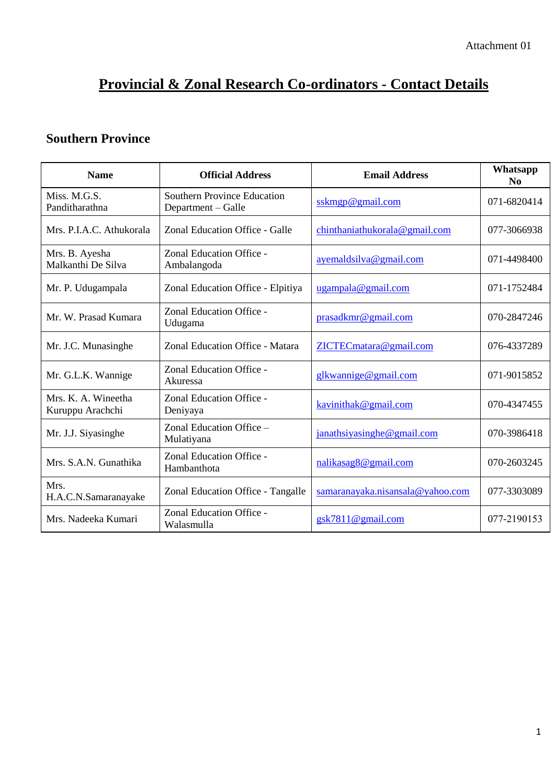# **Provincial & Zonal Research Co-ordinators - Contact Details**

#### **Southern Province**

| <b>Name</b>                             | <b>Official Address</b>                                  | <b>Email Address</b>             | Whatsapp<br>N <sub>0</sub> |
|-----------------------------------------|----------------------------------------------------------|----------------------------------|----------------------------|
| Miss. M.G.S.<br>Panditharathna          | <b>Southern Province Education</b><br>Department – Galle | sskmp@gmail.com                  | 071-6820414                |
| Mrs. P.I.A.C. Athukorala                | Zonal Education Office - Galle                           | chinthaniathukorala@gmail.com    | 077-3066938                |
| Mrs. B. Ayesha<br>Malkanthi De Silva    | Zonal Education Office -<br>Ambalangoda                  | ayemaldsilva@gmail.com           | 071-4498400                |
| Mr. P. Udugampala                       | Zonal Education Office - Elpitiya                        | ugampala@gmail.com               | 071-1752484                |
| Mr. W. Prasad Kumara                    | Zonal Education Office -<br>Udugama                      | prasadkmr@gmail.com              | 070-2847246                |
| Mr. J.C. Munasinghe                     | Zonal Education Office - Matara                          | ZICTECmatara@gmail.com           | 076-4337289                |
| Mr. G.L.K. Wannige                      | Zonal Education Office -<br>Akuressa                     | glkwannige@gmail.com             | 071-9015852                |
| Mrs. K. A. Wineetha<br>Kuruppu Arachchi | Zonal Education Office -<br>Deniyaya                     | kavinithak@gmail.com             | 070-4347455                |
| Mr. J.J. Siyasinghe                     | Zonal Education Office -<br>Mulatiyana                   | janathsiyasinghe@gmail.com       | 070-3986418                |
| Mrs. S.A.N. Gunathika                   | Zonal Education Office -<br>Hambanthota                  | nalikasag8@gmail.com             | 070-2603245                |
| Mrs.<br>H.A.C.N.Samaranayake            | Zonal Education Office - Tangalle                        | samaranayaka.nisansala@yahoo.com | 077-3303089                |
| Mrs. Nadeeka Kumari                     | Zonal Education Office -<br>Walasmulla                   | $g$ sk7811@gmail.com             | 077-2190153                |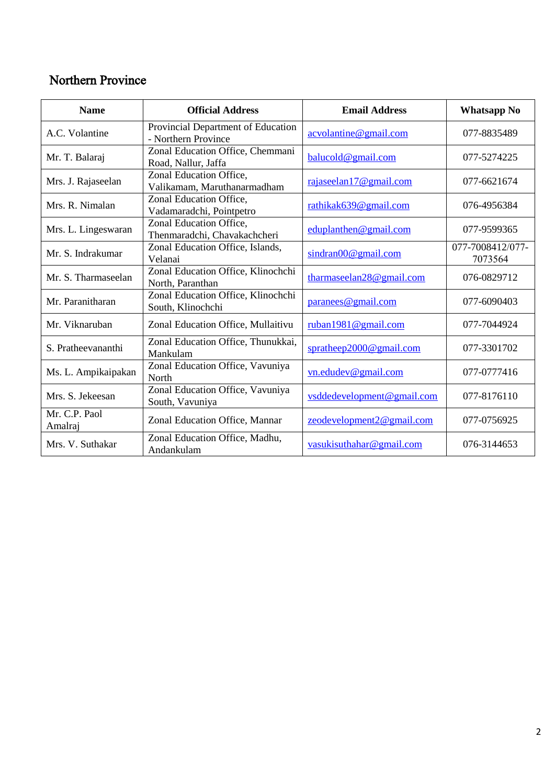#### Northern Province

| <b>Name</b>              | <b>Official Address</b>                                   | <b>Email Address</b>       | <b>Whatsapp No</b>          |
|--------------------------|-----------------------------------------------------------|----------------------------|-----------------------------|
| A.C. Volantine           | Provincial Department of Education<br>- Northern Province | acvolantine@gmail.com      | 077-8835489                 |
| Mr. T. Balaraj           | Zonal Education Office, Chemmani<br>Road, Nallur, Jaffa   | balucold@gmail.com         | 077-5274225                 |
| Mrs. J. Rajaseelan       | Zonal Education Office,<br>Valikamam, Maruthanarmadham    | rajaseelan17@gmail.com     | 077-6621674                 |
| Mrs. R. Nimalan          | Zonal Education Office,<br>Vadamaradchi, Pointpetro       | rathikak639@gmail.com      | 076-4956384                 |
| Mrs. L. Lingeswaran      | Zonal Education Office,<br>Thenmaradchi, Chavakachcheri   | eduplanthen@gmail.com      | 077-9599365                 |
| Mr. S. Indrakumar        | Zonal Education Office, Islands,<br>Velanai               | sindran 00@gmail.com       | 077-7008412/077-<br>7073564 |
| Mr. S. Tharmaseelan      | Zonal Education Office, Klinochchi<br>North, Paranthan    | tharmaseelan28@gmail.com   | 076-0829712                 |
| Mr. Paranitharan         | Zonal Education Office, Klinochchi<br>South, Klinochchi   | paranees@gmail.com         | 077-6090403                 |
| Mr. Viknaruban           | Zonal Education Office, Mullaitivu                        | ruban1981@gmail.com        | 077-7044924                 |
| S. Pratheevananthi       | Zonal Education Office, Thunukkai,<br>Mankulam            | spratheep2000@gmail.com    | 077-3301702                 |
| Ms. L. Ampikaipakan      | Zonal Education Office, Vavuniya<br>North                 | vn.edudev@gmail.com        | 077-0777416                 |
| Mrs. S. Jekeesan         | Zonal Education Office, Vavuniya<br>South, Vavuniya       | vsddedevelopment@gmail.com | 077-8176110                 |
| Mr. C.P. Paol<br>Amalraj | Zonal Education Office, Mannar                            | zeodevelopment2@gmail.com  | 077-0756925                 |
| Mrs. V. Suthakar         | Zonal Education Office, Madhu,<br>Andankulam              | vasukisuthahar@gmail.com   | 076-3144653                 |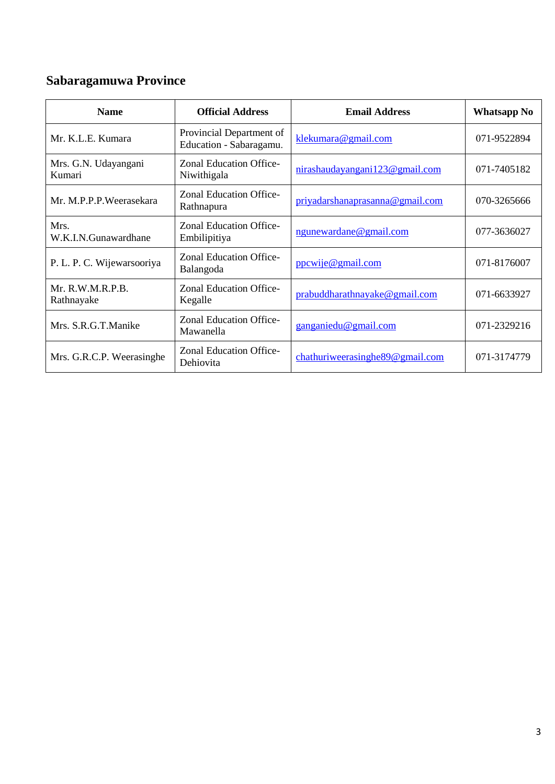## **Sabaragamuwa Province**

| <b>Name</b>                    | <b>Official Address</b>                             | <b>Email Address</b>                | <b>Whatsapp No</b> |
|--------------------------------|-----------------------------------------------------|-------------------------------------|--------------------|
| Mr. K.L.E. Kumara              | Provincial Department of<br>Education - Sabaragamu. | klekumara@gmail.com                 | 071-9522894        |
| Mrs. G.N. Udayangani<br>Kumari | <b>Zonal Education Office-</b><br>Niwithigala       | nirashaudayangani123@gmail.com      | 071-7405182        |
| Mr. M.P.P.P.Weerasekara        | <b>Zonal Education Office-</b><br>Rathnapura        | priyadarshanaprasanna@gmail.com     | 070-3265666        |
| Mrs.<br>W.K.I.N.Gunawardhane   | <b>Zonal Education Office-</b><br>Embilipitiya      | ngunewardane@gmail.com              | 077-3636027        |
| P. L. P. C. Wijewarsooriya     | <b>Zonal Education Office-</b><br>Balangoda         | ppcwije@gmail.com                   | 071-8176007        |
| Mr. R.W.M.R.P.B.<br>Rathnayake | <b>Zonal Education Office-</b><br>Kegalle           | prabuddharathnayake@gmail.com       | 071-6633927        |
| Mrs. S.R.G.T.Manike            | Zonal Education Office-<br>Mawanella                | $\gamma$ ganganiedu@gmail.com       | 071-2329216        |
| Mrs. G.R.C.P. Weerasinghe      | <b>Zonal Education Office-</b><br>Dehiovita         | chathuriweerasinghe $89@$ gmail.com | 071-3174779        |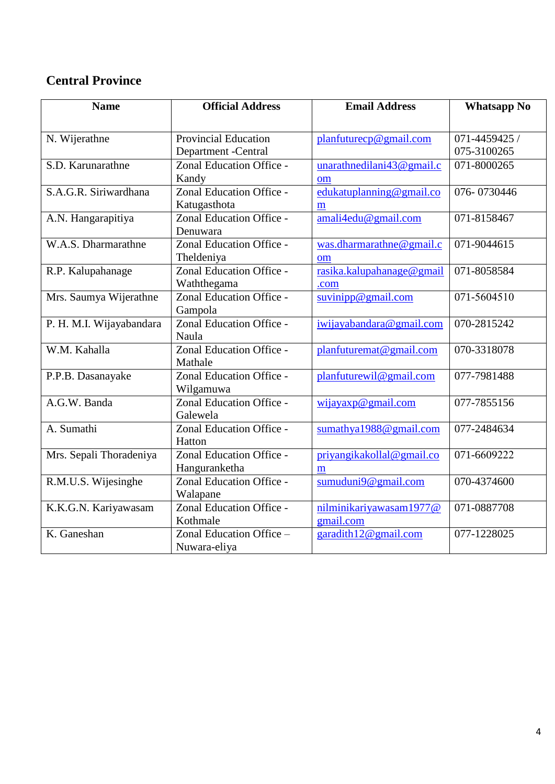### **Central Province**

| <b>Name</b>              | <b>Official Address</b>            | <b>Email Address</b>      | <b>Whatsapp No</b> |
|--------------------------|------------------------------------|---------------------------|--------------------|
|                          |                                    |                           |                    |
| N. Wijerathne            | <b>Provincial Education</b>        | planfuturecp@gmail.com    | 071-4459425 /      |
|                          | Department - Central               |                           | 075-3100265        |
| S.D. Karunarathne        | Zonal Education Office -           | unarathnedilani43@gmail.c | 071-8000265        |
|                          | Kandy                              | om                        |                    |
| S.A.G.R. Siriwardhana    | Zonal Education Office -           | edukatuplanning@gmail.co  | 076-0730446        |
|                          | Katugasthota                       | m                         |                    |
| A.N. Hangarapitiya       | Zonal Education Office -           | amali4edu@gmail.com       | 071-8158467        |
|                          | Denuwara                           |                           |                    |
| W.A.S. Dharmarathne      | Zonal Education Office -           | was.dharmarathne@gmail.c  | 071-9044615        |
|                          | Theldeniya                         | om                        |                    |
| R.P. Kalupahanage        | Zonal Education Office -           | rasika.kalupahanage@gmail | 071-8058584        |
|                          | Waththegama                        | .com                      |                    |
| Mrs. Saumya Wijerathne   | Zonal Education Office -           | suvinipp@gmail.com        | 071-5604510        |
|                          | Gampola                            |                           |                    |
| P. H. M.I. Wijayabandara | Zonal Education Office -           | iwijayabandara@gmail.com  | 070-2815242        |
|                          | Naula                              |                           |                    |
| W.M. Kahalla             | Zonal Education Office -           | planfuturemat@gmail.com   | 070-3318078        |
|                          | Mathale                            |                           |                    |
| P.P.B. Dasanayake        | Zonal Education Office -           | planfuturewil@gmail.com   | 077-7981488        |
|                          | Wilgamuwa                          |                           |                    |
| A.G.W. Banda             | Zonal Education Office -           | wijayaxp@gmail.com        | 077-7855156        |
|                          | Galewela                           |                           |                    |
| A. Sumathi               | Zonal Education Office -<br>Hatton | sumathya1988@gmail.com    | 077-2484634        |
| Mrs. Sepali Thoradeniya  | Zonal Education Office -           | priyangikakollal@gmail.co | 071-6609222        |
|                          | Hanguranketha                      | m                         |                    |
| R.M.U.S. Wijesinghe      | Zonal Education Office -           | sumuduni9@gmail.com       | 070-4374600        |
|                          | Walapane                           |                           |                    |
| K.K.G.N. Kariyawasam     | Zonal Education Office -           | nilminikariyawasam1977@   | 071-0887708        |
|                          | Kothmale                           | gmail.com                 |                    |
| K. Ganeshan              | Zonal Education Office -           | garadith12@gmail.com      | 077-1228025        |
|                          | Nuwara-eliya                       |                           |                    |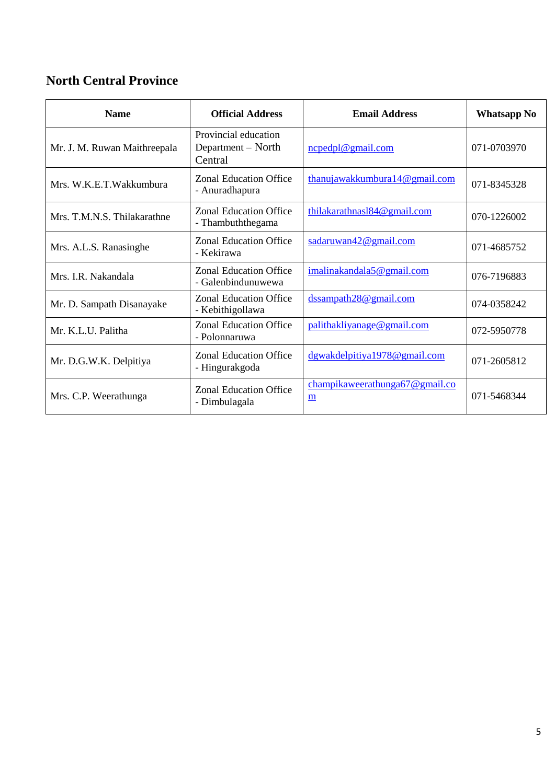### **North Central Province**

| <b>Name</b>                  | <b>Official Address</b>                               | <b>Email Address</b>                | <b>Whatsapp No</b> |
|------------------------------|-------------------------------------------------------|-------------------------------------|--------------------|
| Mr. J. M. Ruwan Maithreepala | Provincial education<br>Department – North<br>Central | ncpedpl@gmail.com                   | 071-0703970        |
| Mrs. W.K.E.T.Wakkumbura      | <b>Zonal Education Office</b><br>- Anuradhapura       | thanujawakkumbura $14@$ gmail.com   | 071-8345328        |
| Mrs. T.M.N.S. Thilakarathne  | <b>Zonal Education Office</b><br>- Thambuththegama    | thilakarathnasl $84@$ gmail.com     | 070-1226002        |
| Mrs. A.L.S. Ranasinghe       | <b>Zonal Education Office</b><br>- Kekirawa           | sadaruwan42@gmail.com               | 071-4685752        |
| Mrs IR Nakandala             | <b>Zonal Education Office</b><br>- Galenbindunuwewa   | imalinakandala5@gmail.com           | 076-7196883        |
| Mr. D. Sampath Disanayake    | <b>Zonal Education Office</b><br>- Kebithigollawa     | dssampath28@gmail.com               | 074-0358242        |
| Mr. K.L.U. Palitha           | <b>Zonal Education Office</b><br>- Polonnaruwa        | palithakliyanage@gmail.com          | 072-5950778        |
| Mr. D.G.W.K. Delpitiya       | <b>Zonal Education Office</b><br>- Hingurakgoda       | dgwakdelpitiya1978@gmail.com        | 071-2605812        |
| Mrs. C.P. Weerathunga        | <b>Zonal Education Office</b><br>- Dimbulagala        | champikaweerathunga67@gmail.co<br>m | 071-5468344        |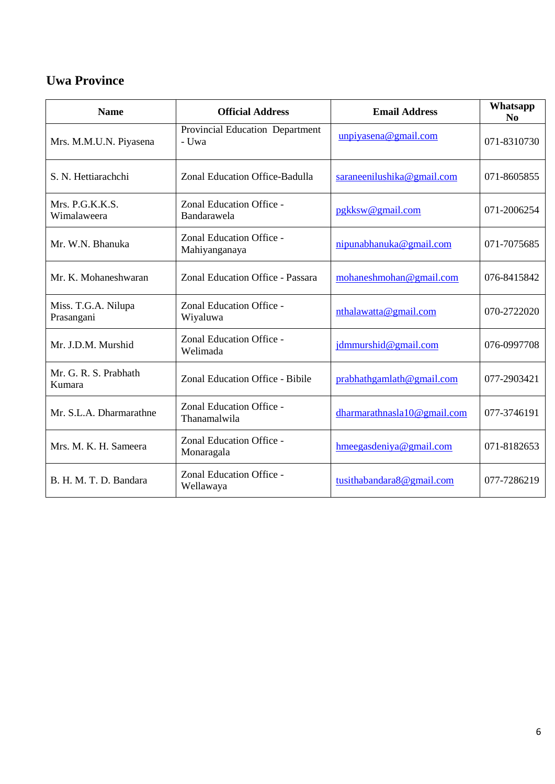#### **Uwa Province**

| <b>Name</b>                       | <b>Official Address</b>                   | <b>Email Address</b>        | Whatsapp<br>N <sub>0</sub> |
|-----------------------------------|-------------------------------------------|-----------------------------|----------------------------|
| Mrs. M.M.U.N. Piyasena            | Provincial Education Department<br>- Uwa  | unpiyasena@gmail.com        | 071-8310730                |
| S. N. Hettiarachchi               | Zonal Education Office-Badulla            | saraneenilushika@gmail.com  | 071-8605855                |
| Mrs. P.G.K.K.S.<br>Wimalaweera    | Zonal Education Office -<br>Bandarawela   | pgkksw@gmail.com            | 071-2006254                |
| Mr. W.N. Bhanuka                  | Zonal Education Office -<br>Mahiyanganaya | nipunabhanuka@gmail.com     | 071-7075685                |
| Mr. K. Mohaneshwaran              | Zonal Education Office - Passara          | mohaneshmohan@gmail.com     | 076-8415842                |
| Miss. T.G.A. Nilupa<br>Prasangani | Zonal Education Office -<br>Wiyaluwa      | nthalawatta@gmail.com       | 070-2722020                |
| Mr. J.D.M. Murshid                | Zonal Education Office -<br>Welimada      | jdmmurshid@gmail.com        | 076-0997708                |
| Mr. G. R. S. Prabhath<br>Kumara   | Zonal Education Office - Bibile           | $prabhath$ gmail.com        | 077-2903421                |
| Mr. S.L.A. Dharmarathne           | Zonal Education Office -<br>Thanamalwila  | dharmarathnasla10@gmail.com | 077-3746191                |
| Mrs. M. K. H. Sameera             | Zonal Education Office -<br>Monaragala    | hmeegasdeniya@gmail.com     | 071-8182653                |
| B. H. M. T. D. Bandara            | Zonal Education Office -<br>Wellawaya     | tusithabandara8@gmail.com   | 077-7286219                |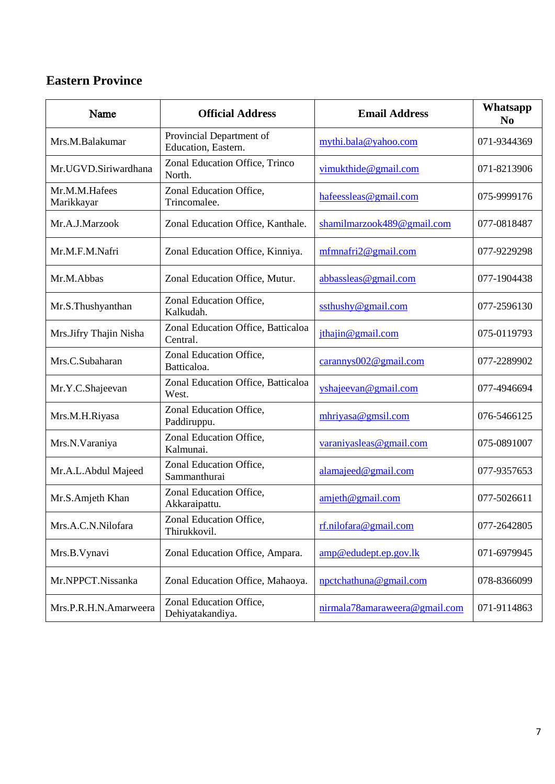#### **Eastern Province**

| Name                        | <b>Official Address</b>                         | <b>Email Address</b>          | Whatsapp<br>N <sub>0</sub> |
|-----------------------------|-------------------------------------------------|-------------------------------|----------------------------|
| Mrs.M.Balakumar             | Provincial Department of<br>Education, Eastern. | mythi.bala@yahoo.com          | 071-9344369                |
| Mr.UGVD.Siriwardhana        | Zonal Education Office, Trinco<br>North.        | vimukthide@gmail.com          | 071-8213906                |
| Mr.M.M.Hafees<br>Marikkayar | Zonal Education Office,<br>Trincomalee.         | hafeessleas@gmail.com         | 075-9999176                |
| Mr.A.J.Marzook              | Zonal Education Office, Kanthale.               | shamilmarzook489@gmail.com    | 077-0818487                |
| Mr.M.F.M.Nafri              | Zonal Education Office, Kinniya.                | mfmnafri2@gmail.com           | 077-9229298                |
| Mr.M.Abbas                  | Zonal Education Office, Mutur.                  | abbassleas@gmail.com          | 077-1904438                |
| Mr.S.Thushyanthan           | Zonal Education Office,<br>Kalkudah.            | ssthushy@gmail.com            | 077-2596130                |
| Mrs.Jifry Thajin Nisha      | Zonal Education Office, Batticaloa<br>Central.  | jthajin@gmail.com             | 075-0119793                |
| Mrs.C.Subaharan             | Zonal Education Office,<br>Batticaloa.          | carannys002@gmail.com         | 077-2289902                |
| Mr.Y.C.Shajeevan            | Zonal Education Office, Batticaloa<br>West.     | yshajeevan@gmail.com          | 077-4946694                |
| Mrs.M.H.Riyasa              | Zonal Education Office,<br>Paddiruppu.          | mhriyasa@gmsil.com            | 076-5466125                |
| Mrs.N.Varaniya              | Zonal Education Office,<br>Kalmunai.            | varaniyasleas@gmail.com       | 075-0891007                |
| Mr.A.L.Abdul Majeed         | Zonal Education Office,<br>Sammanthurai         | alamajeed@gmail.com           | 077-9357653                |
| Mr.S.Amjeth Khan            | Zonal Education Office,<br>Akkaraipattu.        | amjeth@gmail.com              | 077-5026611                |
| Mrs.A.C.N.Nilofara          | Zonal Education Office,<br>Thirukkovil.         | rf.nilofara@gmail.com         | 077-2642805                |
| Mrs.B.Vynavi                | Zonal Education Office, Ampara.                 | amp@edudept.ep.gov.lk         | 071-6979945                |
| Mr.NPPCT.Nissanka           | Zonal Education Office, Mahaoya.                | npctchathuna@gmail.com        | 078-8366099                |
| Mrs.P.R.H.N.Amarweera       | Zonal Education Office,<br>Dehiyatakandiya.     | nirmala78amaraweera@gmail.com | 071-9114863                |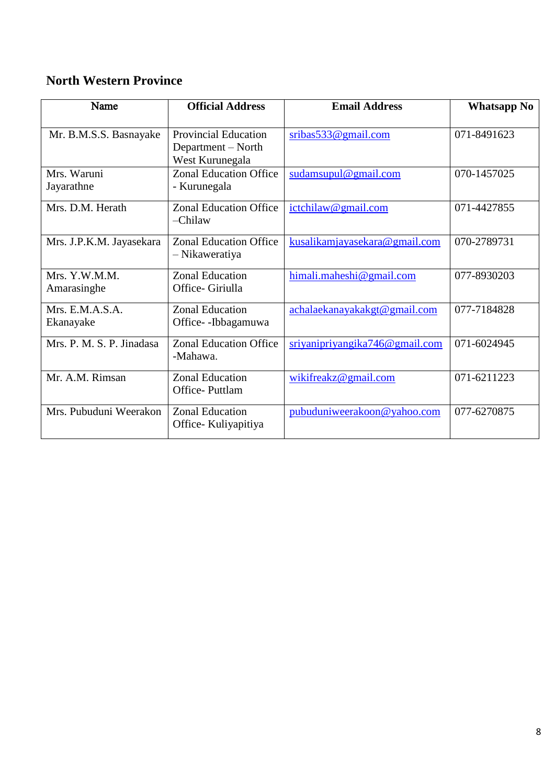#### **North Western Province**

| Name                      | <b>Official Address</b>       | <b>Email Address</b>           | <b>Whatsapp No</b> |
|---------------------------|-------------------------------|--------------------------------|--------------------|
|                           |                               |                                |                    |
| Mr. B.M.S.S. Basnayake    | <b>Provincial Education</b>   | sribas 533@gmail.com           | 071-8491623        |
|                           | Department – North            |                                |                    |
|                           | West Kurunegala               |                                |                    |
| Mrs. Waruni               | <b>Zonal Education Office</b> | $s$ udamsupul@gmail.com        | 070-1457025        |
| Jayarathne                | - Kurunegala                  |                                |                    |
| Mrs. D.M. Herath          | <b>Zonal Education Office</b> | ictchilaw@gmail.com            | 071-4427855        |
|                           | $-$ Chilaw                    |                                |                    |
| Mrs. J.P.K.M. Jayasekara  | <b>Zonal Education Office</b> | kusalikamjayasekara@gmail.com  | 070-2789731        |
|                           | - Nikaweratiya                |                                |                    |
| Mrs. Y.W.M.M.             | <b>Zonal Education</b>        | himali.maheshi@gmail.com       | 077-8930203        |
| Amarasinghe               | Office- Giriulla              |                                |                    |
| Mrs. E.M.A.S.A.           | <b>Zonal Education</b>        | achalaekanayakakgt@gmail.com   | 077-7184828        |
| Ekanayake                 | Office--Ibbagamuwa            |                                |                    |
| Mrs. P. M. S. P. Jinadasa | <b>Zonal Education Office</b> | sriyanipriyangika746@gmail.com | 071-6024945        |
|                           | -Mahawa.                      |                                |                    |
| Mr. A.M. Rimsan           | <b>Zonal Education</b>        | wikifreakz@gmail.com           | 071-6211223        |
|                           | Office-Puttlam                |                                |                    |
| Mrs. Pubuduni Weerakon    | <b>Zonal Education</b>        | pubuduniweerakoon@yahoo.com    | 077-6270875        |
|                           | Office-Kuliyapitiya           |                                |                    |